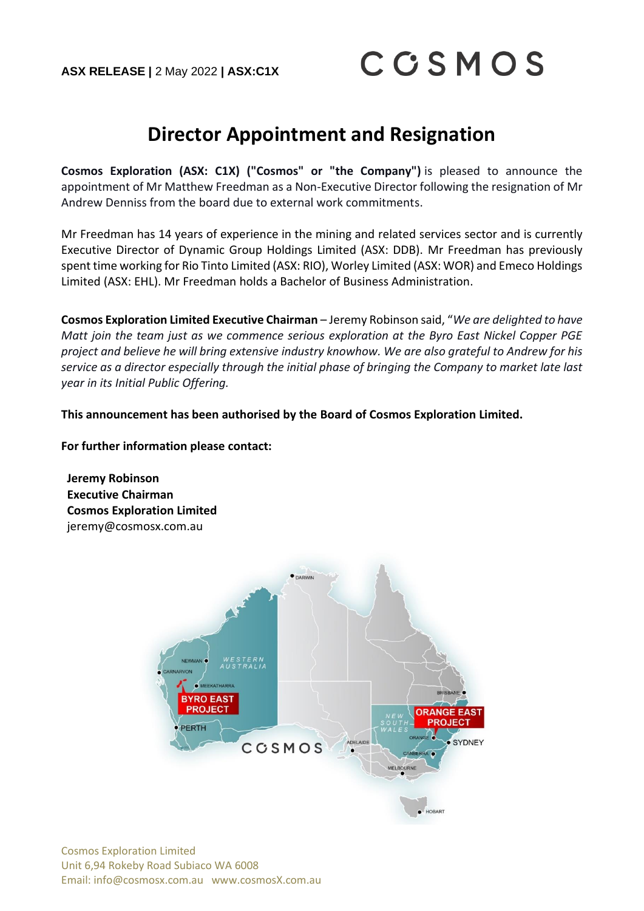## **Director Appointment and Resignation**

**Cosmos Exploration (ASX: C1X) ("Cosmos" or "the Company")** is pleased to announce the appointment of Mr Matthew Freedman as a Non-Executive Director following the resignation of Mr Andrew Denniss from the board due to external work commitments.

Mr Freedman has 14 years of experience in the mining and related services sector and is currently Executive Director of Dynamic Group Holdings Limited (ASX: DDB). Mr Freedman has previously spent time working for Rio Tinto Limited (ASX: RIO), Worley Limited (ASX: WOR) and Emeco Holdings Limited (ASX: EHL). Mr Freedman holds a Bachelor of Business Administration.

**Cosmos Exploration Limited Executive Chairman** – Jeremy Robinson said, "*We are delighted to have Matt join the team just as we commence serious exploration at the Byro East Nickel Copper PGE project and believe he will bring extensive industry knowhow. We are also grateful to Andrew for his service as a director especially through the initial phase of bringing the Company to market late last year in its Initial Public Offering.*

**This announcement has been authorised by the Board of Cosmos Exploration Limited.**

**For further information please contact:**